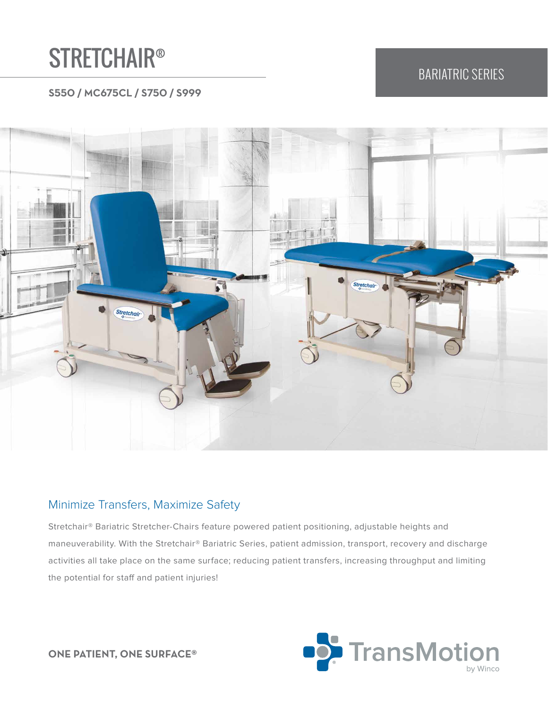# **STRETCHAIR®**

# BARIATRIC SERIES

#### **S550 / MC675CL / S750 / S999**



#### Minimize Transfers, Maximize Safety

Stretchair® Bariatric Stretcher-Chairs feature powered patient positioning, adjustable heights and maneuverability. With the Stretchair® Bariatric Series, patient admission, transport, recovery and discharge activities all take place on the same surface; reducing patient transfers, increasing throughput and limiting the potential for staff and patient injuries!



**ONE PATIENT, ONE SURFACE®**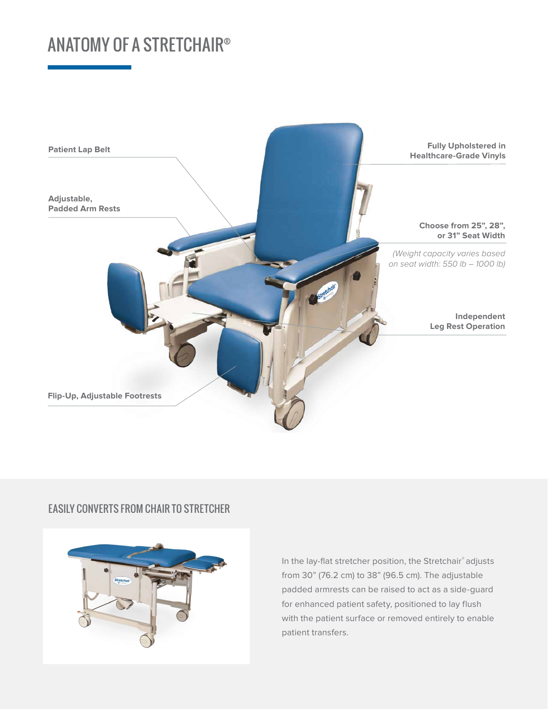# ANATOMY OF A STRETCHAIR®



#### EASILY CONVERTS FROM CHAIR TO STRETCHER



In the lay-flat stretcher position, the Stretchair® adjusts from 30" (76.2 cm) to 38" (96.5 cm). The adjustable padded armrests can be raised to act as a side-guard for enhanced patient safety, positioned to lay flush with the patient surface or removed entirely to enable patient transfers.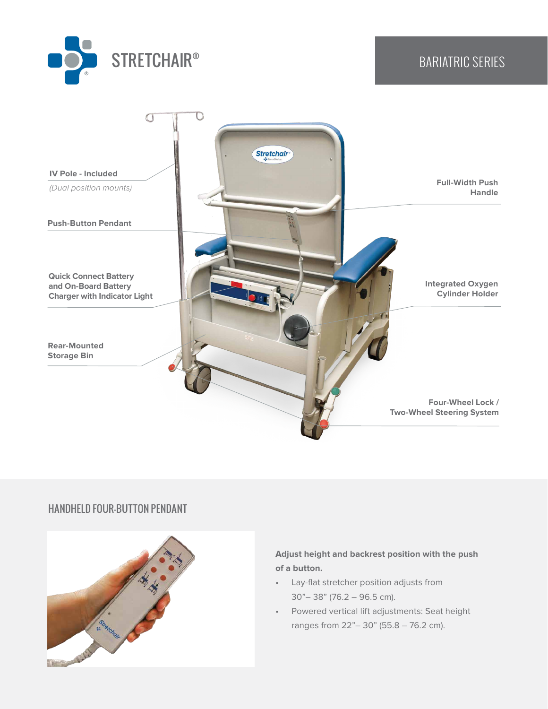



#### HANDHELD FOUR-BUTTON PENDANT



#### **Adjust height and backrest position with the push of a button.**

- Lay-flat stretcher position adjusts from 30"– 38" (76.2 – 96.5 cm).
- Powered vertical lift adjustments: Seat height ranges from 22"– 30" (55.8 – 76.2 cm).